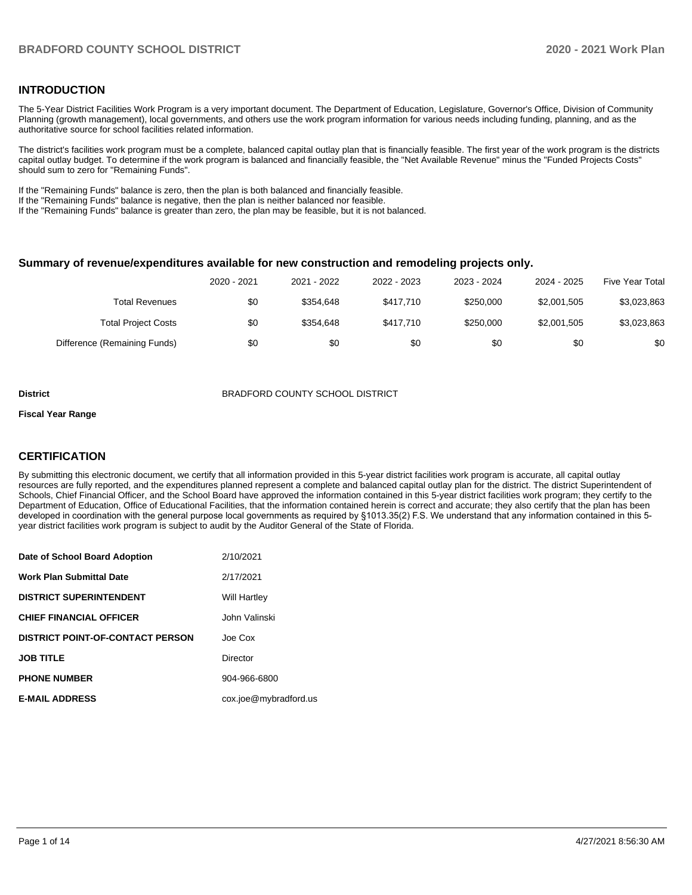## **INTRODUCTION**

The 5-Year District Facilities Work Program is a very important document. The Department of Education, Legislature, Governor's Office, Division of Community Planning (growth management), local governments, and others use the work program information for various needs including funding, planning, and as the authoritative source for school facilities related information.

The district's facilities work program must be a complete, balanced capital outlay plan that is financially feasible. The first year of the work program is the districts capital outlay budget. To determine if the work program is balanced and financially feasible, the "Net Available Revenue" minus the "Funded Projects Costs" should sum to zero for "Remaining Funds".

If the "Remaining Funds" balance is zero, then the plan is both balanced and financially feasible.

If the "Remaining Funds" balance is negative, then the plan is neither balanced nor feasible.

If the "Remaining Funds" balance is greater than zero, the plan may be feasible, but it is not balanced.

#### **Summary of revenue/expenditures available for new construction and remodeling projects only.**

|                              | 2020 - 2021 | 2021 - 2022 | 2022 - 2023 | 2023 - 2024 | 2024 - 2025 | <b>Five Year Total</b> |
|------------------------------|-------------|-------------|-------------|-------------|-------------|------------------------|
| Total Revenues               | \$0         | \$354.648   | \$417.710   | \$250,000   | \$2,001,505 | \$3,023,863            |
| <b>Total Project Costs</b>   | \$0         | \$354.648   | \$417.710   | \$250,000   | \$2,001,505 | \$3,023,863            |
| Difference (Remaining Funds) | \$0         | \$0         | \$0         | \$0         | \$0         | \$0                    |

**District BRADFORD COUNTY SCHOOL DISTRICT** 

#### **Fiscal Year Range**

## **CERTIFICATION**

By submitting this electronic document, we certify that all information provided in this 5-year district facilities work program is accurate, all capital outlay resources are fully reported, and the expenditures planned represent a complete and balanced capital outlay plan for the district. The district Superintendent of Schools, Chief Financial Officer, and the School Board have approved the information contained in this 5-year district facilities work program; they certify to the Department of Education, Office of Educational Facilities, that the information contained herein is correct and accurate; they also certify that the plan has been developed in coordination with the general purpose local governments as required by §1013.35(2) F.S. We understand that any information contained in this 5 year district facilities work program is subject to audit by the Auditor General of the State of Florida.

| Date of School Board Adoption           | 2/10/2021             |
|-----------------------------------------|-----------------------|
| <b>Work Plan Submittal Date</b>         | 2/17/2021             |
| <b>DISTRICT SUPERINTENDENT</b>          | <b>Will Hartley</b>   |
| <b>CHIEF FINANCIAL OFFICER</b>          | John Valinski         |
| <b>DISTRICT POINT-OF-CONTACT PERSON</b> | Joe Cox               |
| <b>JOB TITLE</b>                        | Director              |
| <b>PHONE NUMBER</b>                     | 904-966-6800          |
| <b>E-MAIL ADDRESS</b>                   | cox.joe@mybradford.us |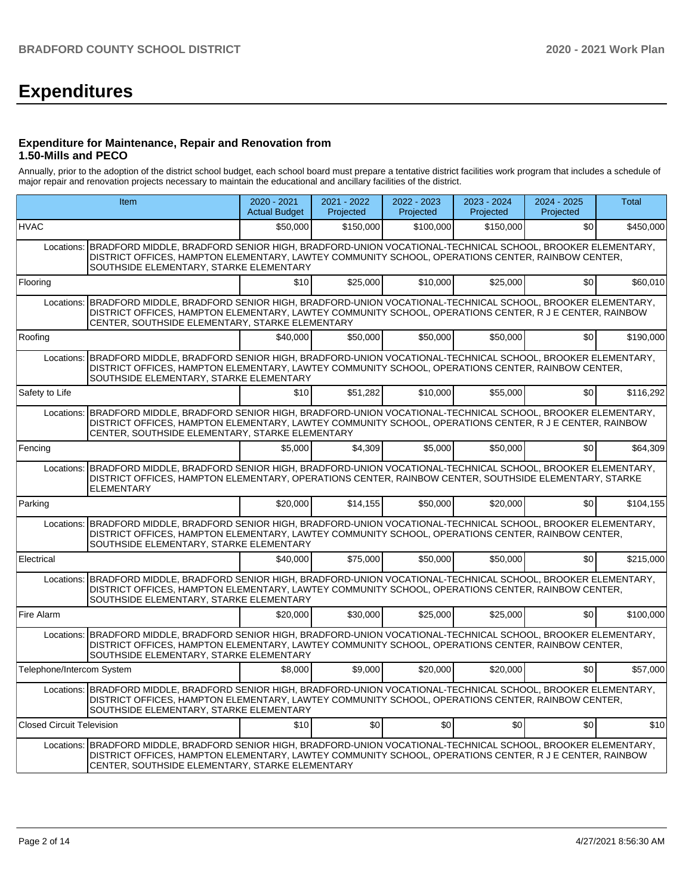# **Expenditures**

## **Expenditure for Maintenance, Repair and Renovation from 1.50-Mills and PECO**

Annually, prior to the adoption of the district school budget, each school board must prepare a tentative district facilities work program that includes a schedule of major repair and renovation projects necessary to maintain the educational and ancillary facilities of the district.

|                                  | Item                                                                                                                                                                                                                                                                            | $2020 - 2021$<br><b>Actual Budget</b> | 2021 - 2022<br>Projected | $2022 - 2023$<br>Projected | $2023 - 2024$<br>Projected | 2024 - 2025<br>Projected | <b>Total</b> |
|----------------------------------|---------------------------------------------------------------------------------------------------------------------------------------------------------------------------------------------------------------------------------------------------------------------------------|---------------------------------------|--------------------------|----------------------------|----------------------------|--------------------------|--------------|
| <b>HVAC</b>                      |                                                                                                                                                                                                                                                                                 | \$50,000                              | \$150,000                | \$100,000                  | \$150.000                  | \$0                      | \$450,000    |
| Locations:                       | BRADFORD MIDDLE, BRADFORD SENIOR HIGH, BRADFORD-UNION VOCATIONAL-TECHNICAL SCHOOL, BROOKER ELEMENTARY,<br>DISTRICT OFFICES, HAMPTON ELEMENTARY, LAWTEY COMMUNITY SCHOOL, OPERATIONS CENTER, RAINBOW CENTER,<br>SOUTHSIDE ELEMENTARY, STARKE ELEMENTARY                          |                                       |                          |                            |                            |                          |              |
| Flooring                         |                                                                                                                                                                                                                                                                                 | \$10                                  | \$25,000                 | \$10,000                   | \$25.000                   | \$0                      | \$60,010     |
|                                  | Locations: BRADFORD MIDDLE. BRADFORD SENIOR HIGH. BRADFORD-UNION VOCATIONAL-TECHNICAL SCHOOL. BROOKER ELEMENTARY.<br>DISTRICT OFFICES, HAMPTON ELEMENTARY, LAWTEY COMMUNITY SCHOOL, OPERATIONS CENTER, R J E CENTER, RAINBOW<br>CENTER, SOUTHSIDE ELEMENTARY, STARKE ELEMENTARY |                                       |                          |                            |                            |                          |              |
| Roofing                          |                                                                                                                                                                                                                                                                                 | \$40,000                              | \$50,000                 | \$50,000                   | \$50,000                   | \$0                      | \$190,000    |
|                                  | Locations: BRADFORD MIDDLE, BRADFORD SENIOR HIGH, BRADFORD-UNION VOCATIONAL-TECHNICAL SCHOOL, BROOKER ELEMENTARY,<br>DISTRICT OFFICES, HAMPTON ELEMENTARY, LAWTEY COMMUNITY SCHOOL, OPERATIONS CENTER, RAINBOW CENTER,<br>SOUTHSIDE ELEMENTARY, STARKE ELEMENTARY               |                                       |                          |                            |                            |                          |              |
| Safety to Life                   |                                                                                                                                                                                                                                                                                 | \$10                                  | \$51.282                 | \$10,000                   | \$55.000                   | \$0                      | \$116.292    |
|                                  | Locations: BRADFORD MIDDLE, BRADFORD SENIOR HIGH, BRADFORD-UNION VOCATIONAL-TECHNICAL SCHOOL, BROOKER ELEMENTARY,<br>DISTRICT OFFICES, HAMPTON ELEMENTARY, LAWTEY COMMUNITY SCHOOL, OPERATIONS CENTER, R J E CENTER, RAINBOW<br>CENTER, SOUTHSIDE ELEMENTARY, STARKE ELEMENTARY |                                       |                          |                            |                            |                          |              |
| Fencing                          |                                                                                                                                                                                                                                                                                 | \$5,000                               | \$4.309                  | \$5.000                    | \$50,000                   | \$0                      | \$64.309     |
|                                  | Locations: BRADFORD MIDDLE, BRADFORD SENIOR HIGH, BRADFORD-UNION VOCATIONAL-TECHNICAL SCHOOL, BROOKER ELEMENTARY,<br>DISTRICT OFFICES, HAMPTON ELEMENTARY, OPERATIONS CENTER, RAINBOW CENTER, SOUTHSIDE ELEMENTARY, STARKE<br><b>ELEMENTARY</b>                                 |                                       |                          |                            |                            |                          |              |
| Parking                          |                                                                                                                                                                                                                                                                                 | \$20,000                              | \$14.155                 | \$50,000                   | \$20,000                   | \$0                      | \$104,155    |
|                                  | Locations: BRADFORD MIDDLE, BRADFORD SENIOR HIGH, BRADFORD-UNION VOCATIONAL-TECHNICAL SCHOOL, BROOKER ELEMENTARY,<br>DISTRICT OFFICES, HAMPTON ELEMENTARY, LAWTEY COMMUNITY SCHOOL, OPERATIONS CENTER, RAINBOW CENTER,<br>SOUTHSIDE ELEMENTARY, STARKE ELEMENTARY               |                                       |                          |                            |                            |                          |              |
| Electrical                       |                                                                                                                                                                                                                                                                                 | \$40,000                              | \$75.000                 | \$50,000                   | \$50,000                   | \$0                      | \$215,000    |
|                                  | Locations: BRADFORD MIDDLE, BRADFORD SENIOR HIGH, BRADFORD-UNION VOCATIONAL-TECHNICAL SCHOOL, BROOKER ELEMENTARY,<br>DISTRICT OFFICES, HAMPTON ELEMENTARY, LAWTEY COMMUNITY SCHOOL, OPERATIONS CENTER, RAINBOW CENTER,<br>SOUTHSIDE ELEMENTARY, STARKE ELEMENTARY               |                                       |                          |                            |                            |                          |              |
| Fire Alarm                       |                                                                                                                                                                                                                                                                                 | \$20,000                              | \$30,000                 | \$25,000                   | \$25,000                   | \$0                      | \$100.000    |
|                                  | Locations: BRADFORD MIDDLE, BRADFORD SENIOR HIGH, BRADFORD-UNION VOCATIONAL-TECHNICAL SCHOOL, BROOKER ELEMENTARY,<br>DISTRICT OFFICES, HAMPTON ELEMENTARY, LAWTEY COMMUNITY SCHOOL, OPERATIONS CENTER, RAINBOW CENTER,<br>SOUTHSIDE ELEMENTARY, STARKE ELEMENTARY               |                                       |                          |                            |                            |                          |              |
| Telephone/Intercom System        |                                                                                                                                                                                                                                                                                 | \$8,000                               | \$9,000                  | \$20,000                   | \$20,000                   | \$0                      | \$57,000     |
|                                  | Locations: BRADFORD MIDDLE, BRADFORD SENIOR HIGH, BRADFORD-UNION VOCATIONAL-TECHNICAL SCHOOL, BROOKER ELEMENTARY,<br>DISTRICT OFFICES, HAMPTON ELEMENTARY, LAWTEY COMMUNITY SCHOOL, OPERATIONS CENTER, RAINBOW CENTER,<br>SOUTHSIDE ELEMENTARY, STARKE ELEMENTARY               |                                       |                          |                            |                            |                          |              |
| <b>Closed Circuit Television</b> |                                                                                                                                                                                                                                                                                 | \$10                                  | \$0                      | \$0                        | \$0                        | \$0                      | \$10         |
|                                  | Locations: BRADFORD MIDDLE, BRADFORD SENIOR HIGH, BRADFORD-UNION VOCATIONAL-TECHNICAL SCHOOL, BROOKER ELEMENTARY,<br>DISTRICT OFFICES, HAMPTON ELEMENTARY, LAWTEY COMMUNITY SCHOOL, OPERATIONS CENTER, R J E CENTER, RAINBOW<br>CENTER, SOUTHSIDE ELEMENTARY, STARKE ELEMENTARY |                                       |                          |                            |                            |                          |              |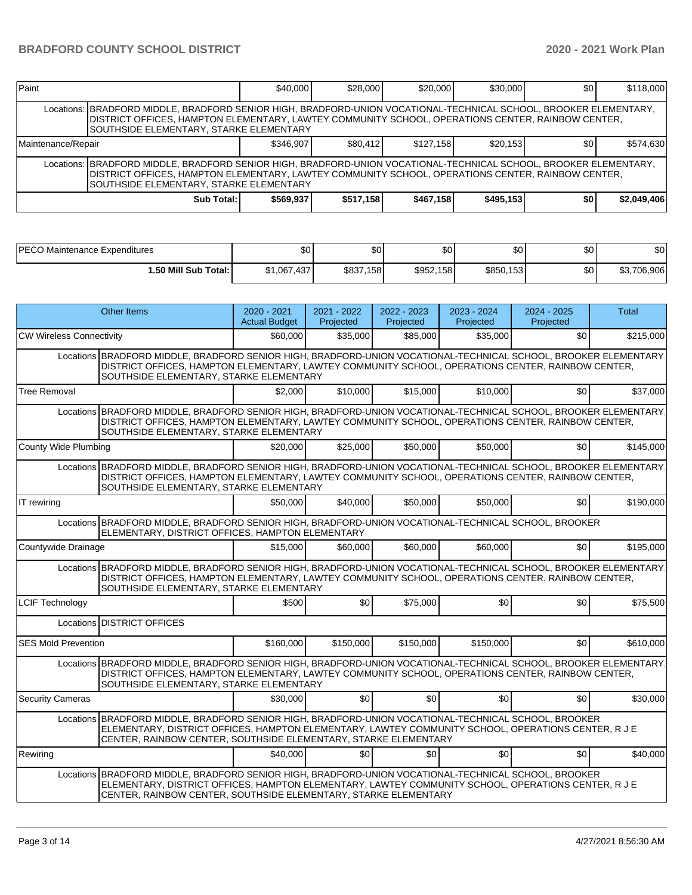| Paint              |                                                                                                                                                                                                                                                                    | \$40,000  | \$28,000  | \$20,000  | \$30,000  | \$0 | \$118,000   |  |  |  |
|--------------------|--------------------------------------------------------------------------------------------------------------------------------------------------------------------------------------------------------------------------------------------------------------------|-----------|-----------|-----------|-----------|-----|-------------|--|--|--|
|                    | Locations:  BRADFORD MIDDLE, BRADFORD SENIOR HIGH, BRADFORD-UNION VOCATIONAL-TECHNICAL SCHOOL, BROOKER ELEMENTARY,<br>DISTRICT OFFICES, HAMPTON ELEMENTARY, LAWTEY COMMUNITY SCHOOL, OPERATIONS CENTER, RAINBOW CENTER,<br>SOUTHSIDE ELEMENTARY, STARKE ELEMENTARY |           |           |           |           |     |             |  |  |  |
| Maintenance/Repair |                                                                                                                                                                                                                                                                    | \$346.907 | \$80.412  | \$127.158 | \$20.153  | \$0 | \$574,630   |  |  |  |
|                    | Locations:  BRADFORD MIDDLE, BRADFORD SENIOR HIGH, BRADFORD-UNION VOCATIONAL-TECHNICAL SCHOOL, BROOKER ELEMENTARY,<br>DISTRICT OFFICES, HAMPTON ELEMENTARY, LAWTEY COMMUNITY SCHOOL, OPERATIONS CENTER, RAINBOW CENTER,<br>SOUTHSIDE ELEMENTARY, STARKE ELEMENTARY |           |           |           |           |     |             |  |  |  |
|                    | Sub Total:                                                                                                                                                                                                                                                         | \$569.937 | \$517,158 | \$467,158 | \$495,153 | \$0 | \$2,049,406 |  |  |  |

| <b>PECO Maintenance Expenditures</b> | \$0         | ሖ<br>Ψ         | ሖ<br>ມບ   | ሶስ<br>υU  | ሶስ<br>υU | \$0            |
|--------------------------------------|-------------|----------------|-----------|-----------|----------|----------------|
| 1.50 Mill Sub Total: I               | \$1,067,437 | \$837.<br>.158 | \$952,158 | \$850,153 | \$0      | 706.906<br>JU. |

|                                 | <b>Other Items</b>                                                                                                                                                                                                                                                             | $2020 - 2021$<br><b>Actual Budget</b> | 2021 - 2022<br>Projected | 2022 - 2023<br>Projected | 2023 - 2024<br>Projected | $2024 - 2025$<br>Projected | <b>Total</b> |
|---------------------------------|--------------------------------------------------------------------------------------------------------------------------------------------------------------------------------------------------------------------------------------------------------------------------------|---------------------------------------|--------------------------|--------------------------|--------------------------|----------------------------|--------------|
| <b>CW Wireless Connectivity</b> |                                                                                                                                                                                                                                                                                | \$60,000                              | \$35,000                 | \$85,000                 | \$35,000                 | \$0                        | \$215,000    |
|                                 | Locations BRADFORD MIDDLE, BRADFORD SENIOR HIGH, BRADFORD-UNION VOCATIONAL-TECHNICAL SCHOOL, BROOKER ELEMENTARY<br>DISTRICT OFFICES, HAMPTON ELEMENTARY, LAWTEY COMMUNITY SCHOOL, OPERATIONS CENTER, RAINBOW CENTER,<br>SOUTHSIDE ELEMENTARY, STARKE ELEMENTARY                |                                       |                          |                          |                          |                            |              |
| <b>Tree Removal</b>             |                                                                                                                                                                                                                                                                                | \$2,000                               | \$10,000                 | \$15,000                 | \$10,000                 | \$0                        | \$37,000     |
|                                 | Locations BRADFORD MIDDLE, BRADFORD SENIOR HIGH, BRADFORD-UNION VOCATIONAL-TECHNICAL SCHOOL, BROOKER ELEMENTARY<br>DISTRICT OFFICES, HAMPTON ELEMENTARY, LAWTEY COMMUNITY SCHOOL, OPERATIONS CENTER, RAINBOW CENTER,<br>SOUTHSIDE ELEMENTARY, STARKE ELEMENTARY                |                                       |                          |                          |                          |                            |              |
| County Wide Plumbing            |                                                                                                                                                                                                                                                                                | \$20,000                              | \$25,000                 | \$50,000                 | \$50,000                 | \$0                        | \$145,000    |
|                                 | Locations BRADFORD MIDDLE, BRADFORD SENIOR HIGH, BRADFORD-UNION VOCATIONAL-TECHNICAL SCHOOL, BROOKER ELEMENTARY<br>DISTRICT OFFICES, HAMPTON ELEMENTARY, LAWTEY COMMUNITY SCHOOL, OPERATIONS CENTER, RAINBOW CENTER,<br>SOUTHSIDE ELEMENTARY, STARKE ELEMENTARY                |                                       |                          |                          |                          |                            |              |
| IT rewiring                     |                                                                                                                                                                                                                                                                                | \$50,000                              | \$40,000                 | \$50,000                 | \$50,000                 | \$0                        | \$190.000    |
|                                 | Locations BRADFORD MIDDLE, BRADFORD SENIOR HIGH, BRADFORD-UNION VOCATIONAL-TECHNICAL SCHOOL, BROOKER<br>ELEMENTARY, DISTRICT OFFICES, HAMPTON ELEMENTARY                                                                                                                       |                                       |                          |                          |                          |                            |              |
| Countywide Drainage             |                                                                                                                                                                                                                                                                                | \$15,000                              | \$60,000                 | \$60,000                 | \$60,000                 | \$0                        | \$195,000    |
|                                 | Locations BRADFORD MIDDLE, BRADFORD SENIOR HIGH, BRADFORD-UNION VOCATIONAL-TECHNICAL SCHOOL, BROOKER ELEMENTARY<br>DISTRICT OFFICES, HAMPTON ELEMENTARY, LAWTEY COMMUNITY SCHOOL, OPERATIONS CENTER, RAINBOW CENTER,<br>SOUTHSIDE ELEMENTARY, STARKE ELEMENTARY                |                                       |                          |                          |                          |                            |              |
| <b>LCIF Technology</b>          |                                                                                                                                                                                                                                                                                | \$500                                 | \$0                      | \$75,000                 | \$0                      | \$0                        | \$75,500     |
|                                 | Locations DISTRICT OFFICES                                                                                                                                                                                                                                                     |                                       |                          |                          |                          |                            |              |
| <b>SES Mold Prevention</b>      |                                                                                                                                                                                                                                                                                | \$160,000                             | \$150,000                | \$150,000                | \$150,000                | \$0                        | \$610,000    |
|                                 | Locations BRADFORD MIDDLE, BRADFORD SENIOR HIGH, BRADFORD-UNION VOCATIONAL-TECHNICAL SCHOOL, BROOKER ELEMENTARY<br>DISTRICT OFFICES, HAMPTON ELEMENTARY, LAWTEY COMMUNITY SCHOOL, OPERATIONS CENTER, RAINBOW CENTER,<br>SOUTHSIDE ELEMENTARY, STARKE ELEMENTARY                |                                       |                          |                          |                          |                            |              |
| <b>Security Cameras</b>         |                                                                                                                                                                                                                                                                                | \$30,000                              | \$0 <sub>1</sub>         | \$0 <sub>l</sub>         | \$0 <sub>1</sub>         | \$0                        | \$30,000     |
|                                 | Locations BRADFORD MIDDLE, BRADFORD SENIOR HIGH, BRADFORD-UNION VOCATIONAL-TECHNICAL SCHOOL, BROOKER<br>ELEMENTARY, DISTRICT OFFICES, HAMPTON ELEMENTARY, LAWTEY COMMUNITY SCHOOL, OPERATIONS CENTER, R J E<br>CENTER, RAINBOW CENTER, SOUTHSIDE ELEMENTARY, STARKE ELEMENTARY |                                       |                          |                          |                          |                            |              |
| Rewiring                        |                                                                                                                                                                                                                                                                                | \$40,000                              | \$0                      | \$0                      | \$0                      | \$0                        | \$40,000     |
|                                 | Locations BRADFORD MIDDLE. BRADFORD SENIOR HIGH. BRADFORD-UNION VOCATIONAL-TECHNICAL SCHOOL. BROOKER<br>ELEMENTARY, DISTRICT OFFICES, HAMPTON ELEMENTARY, LAWTEY COMMUNITY SCHOOL, OPERATIONS CENTER, R J E<br>CENTER, RAINBOW CENTER, SOUTHSIDE ELEMENTARY, STARKE ELEMENTARY |                                       |                          |                          |                          |                            |              |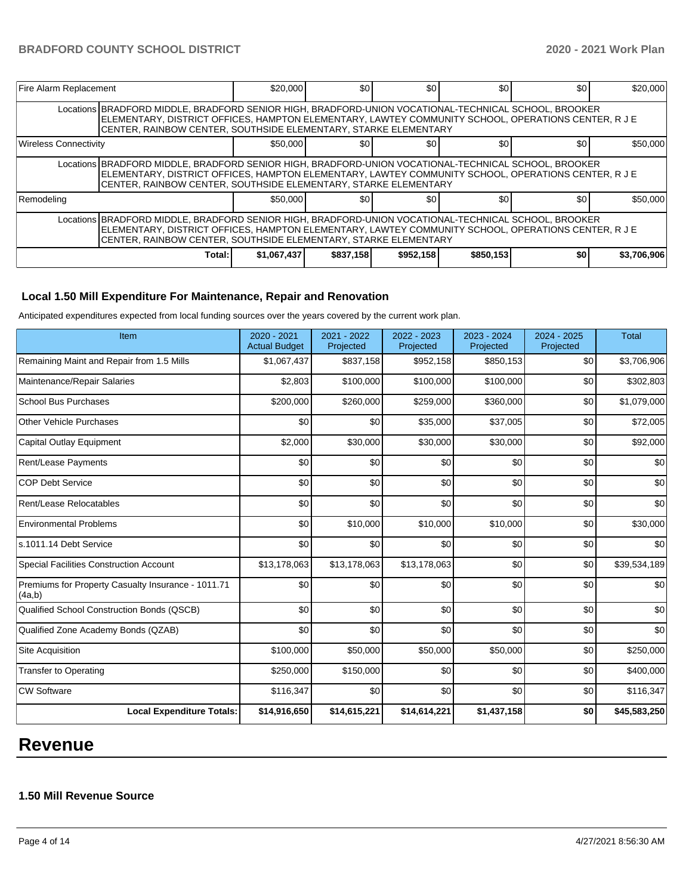| <b>Fire Alarm Replacement</b>                                                                                                                                                                                                                                                  |                                                                                                                                                                                                                                                                                  | \$20,000    | \$0 <sub>1</sub> | \$0       | \$0       | \$0 | \$20.000    |  |  |
|--------------------------------------------------------------------------------------------------------------------------------------------------------------------------------------------------------------------------------------------------------------------------------|----------------------------------------------------------------------------------------------------------------------------------------------------------------------------------------------------------------------------------------------------------------------------------|-------------|------------------|-----------|-----------|-----|-------------|--|--|
|                                                                                                                                                                                                                                                                                | Locations BRADFORD MIDDLE, BRADFORD SENIOR HIGH, BRADFORD-UNION VOCATIONAL-TECHNICAL SCHOOL, BROOKER<br>ELEMENTARY, DISTRICT OFFICES, HAMPTON ELEMENTARY, LAWTEY COMMUNITY SCHOOL, OPERATIONS CENTER, R J E<br>CENTER, RAINBOW CENTER, SOUTHSIDE ELEMENTARY, STARKE ELEMENTARY   |             |                  |           |           |     |             |  |  |
| <b>Wireless Connectivity</b>                                                                                                                                                                                                                                                   |                                                                                                                                                                                                                                                                                  | \$50,000    | \$0              | \$0       | \$0       | \$0 | \$50,000    |  |  |
|                                                                                                                                                                                                                                                                                | Locations   BRADFORD MIDDLE, BRADFORD SENIOR HIGH, BRADFORD-UNION VOCATIONAL-TECHNICAL SCHOOL, BROOKER<br>ELEMENTARY, DISTRICT OFFICES, HAMPTON ELEMENTARY, LAWTEY COMMUNITY SCHOOL, OPERATIONS CENTER, R J E<br>CENTER, RAINBOW CENTER, SOUTHSIDE ELEMENTARY, STARKE ELEMENTARY |             |                  |           |           |     |             |  |  |
| Remodeling                                                                                                                                                                                                                                                                     |                                                                                                                                                                                                                                                                                  | \$50,000    | \$0              | \$0       | \$0       | \$0 | \$50,000    |  |  |
| Locations BRADFORD MIDDLE, BRADFORD SENIOR HIGH, BRADFORD-UNION VOCATIONAL-TECHNICAL SCHOOL, BROOKER<br>ELEMENTARY, DISTRICT OFFICES, HAMPTON ELEMENTARY, LAWTEY COMMUNITY SCHOOL, OPERATIONS CENTER, R J E<br>CENTER, RAINBOW CENTER, SOUTHSIDE ELEMENTARY, STARKE ELEMENTARY |                                                                                                                                                                                                                                                                                  |             |                  |           |           |     |             |  |  |
|                                                                                                                                                                                                                                                                                | Total:                                                                                                                                                                                                                                                                           | \$1,067,437 | \$837,158        | \$952,158 | \$850,153 | \$0 | \$3,706,906 |  |  |

## **Local 1.50 Mill Expenditure For Maintenance, Repair and Renovation**

Anticipated expenditures expected from local funding sources over the years covered by the current work plan.

| Item                                                         | 2020 - 2021<br><b>Actual Budget</b> | 2021 - 2022<br>Projected | 2022 - 2023<br>Projected | 2023 - 2024<br>Projected | 2024 - 2025<br>Projected | <b>Total</b> |
|--------------------------------------------------------------|-------------------------------------|--------------------------|--------------------------|--------------------------|--------------------------|--------------|
| Remaining Maint and Repair from 1.5 Mills                    | \$1,067,437                         | \$837,158                | \$952,158                | \$850,153                | \$0                      | \$3,706,906  |
| Maintenance/Repair Salaries                                  | \$2,803                             | \$100,000                | \$100,000                | \$100,000                | \$0                      | \$302,803    |
| <b>School Bus Purchases</b>                                  | \$200,000                           | \$260,000                | \$259,000                | \$360,000                | \$0                      | \$1,079,000  |
| Other Vehicle Purchases                                      | \$0                                 | \$0                      | \$35,000                 | \$37,005                 | \$0                      | \$72,005     |
| <b>Capital Outlay Equipment</b>                              | \$2,000                             | \$30,000                 | \$30,000                 | \$30,000                 | \$0                      | \$92,000     |
| <b>Rent/Lease Payments</b>                                   | \$0                                 | \$0                      | \$0                      | \$0                      | \$0                      | \$0          |
| <b>COP Debt Service</b>                                      | \$0                                 | \$0                      | \$0                      | \$0                      | \$0                      | \$0          |
| Rent/Lease Relocatables                                      | \$0                                 | \$0                      | \$0                      | \$0                      | \$0                      | \$0          |
| <b>Environmental Problems</b>                                | \$0                                 | \$10,000                 | \$10,000                 | \$10,000                 | \$0                      | \$30,000     |
| s.1011.14 Debt Service                                       | \$0                                 | \$0                      | \$0                      | \$0                      | \$0                      | \$0          |
| <b>Special Facilities Construction Account</b>               | \$13,178,063                        | \$13,178,063             | \$13,178,063             | \$0                      | \$0                      | \$39,534,189 |
| Premiums for Property Casualty Insurance - 1011.71<br>(4a,b) | \$0                                 | \$0                      | \$0                      | \$0                      | \$0                      | \$0          |
| Qualified School Construction Bonds (QSCB)                   | \$0                                 | \$0                      | \$0                      | \$0                      | \$0                      | \$0          |
| Qualified Zone Academy Bonds (QZAB)                          | \$0                                 | \$0                      | \$0                      | \$0                      | \$0                      | \$0          |
| Site Acquisition                                             | \$100,000                           | \$50,000                 | \$50,000                 | \$50,000                 | \$0                      | \$250,000    |
| <b>Transfer to Operating</b>                                 | \$250,000                           | \$150,000                | \$0                      | \$0                      | \$0                      | \$400,000    |
| <b>CW Software</b>                                           | \$116,347                           | \$0                      | \$0                      | \$0                      | \$0                      | \$116,347    |
| <b>Local Expenditure Totals:</b>                             | \$14,916,650                        | \$14,615,221             | \$14,614,221             | \$1,437,158              | \$0                      | \$45,583,250 |

## **Revenue**

## **1.50 Mill Revenue Source**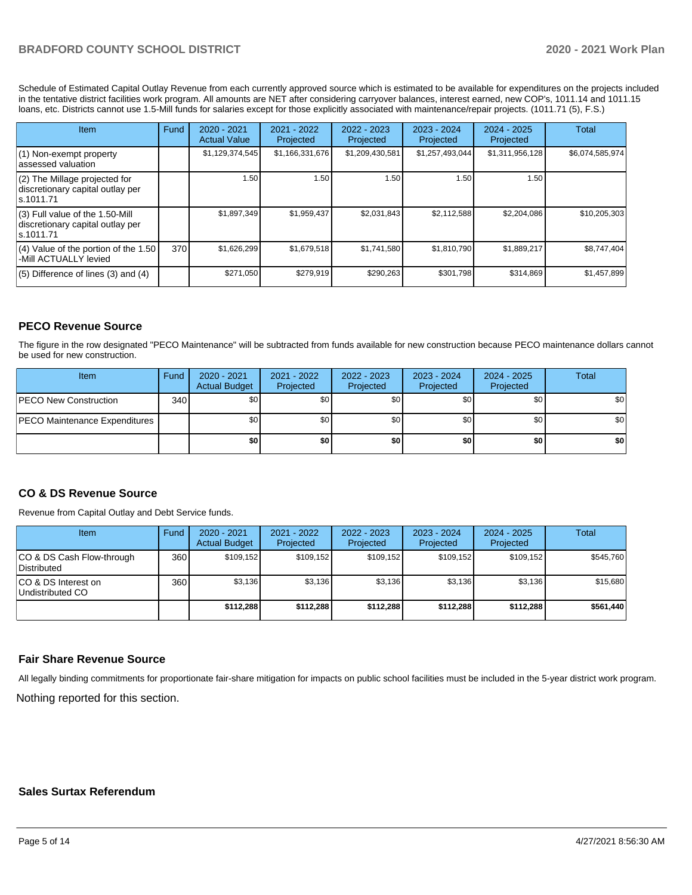## **BRADFORD COUNTY SCHOOL DISTRICT 2020 - 2021 Work Plan**

Schedule of Estimated Capital Outlay Revenue from each currently approved source which is estimated to be available for expenditures on the projects included in the tentative district facilities work program. All amounts are NET after considering carryover balances, interest earned, new COP's, 1011.14 and 1011.15 loans, etc. Districts cannot use 1.5-Mill funds for salaries except for those explicitly associated with maintenance/repair projects. (1011.71 (5), F.S.)

| Item                                                                                | Fund | $2020 - 2021$       | $2021 - 2022$   | $2022 - 2023$     | $2023 - 2024$   | $2024 - 2025$   | Total           |
|-------------------------------------------------------------------------------------|------|---------------------|-----------------|-------------------|-----------------|-----------------|-----------------|
|                                                                                     |      | <b>Actual Value</b> | Projected       | Projected         | Projected       | Projected       |                 |
| (1) Non-exempt property<br>lassessed valuation                                      |      | \$1,129,374,545     | \$1,166,331,676 | \$1,209,430,581   | \$1,257,493,044 | \$1,311,956,128 | \$6,074,585,974 |
| (2) The Millage projected for<br>discretionary capital outlay per<br>ls.1011.71     |      | 1.50                | 1.50            | 1.50 <sub>1</sub> | 1.50            | 1.50            |                 |
| $(3)$ Full value of the 1.50-Mill<br>discretionary capital outlay per<br>ls.1011.71 |      | \$1,897,349         | \$1,959,437     | \$2,031,843       | \$2,112,588     | \$2,204,086     | \$10,205,303    |
| $(4)$ Value of the portion of the 1.50<br>-Mill ACTUALLY levied                     | 370  | \$1,626,299         | \$1,679,518     | \$1,741,580       | \$1,810,790     | \$1,889,217     | \$8,747,404     |
| $(5)$ Difference of lines $(3)$ and $(4)$                                           |      | \$271,050           | \$279,919       | \$290,263         | \$301,798       | \$314,869       | \$1,457,899     |

## **PECO Revenue Source**

The figure in the row designated "PECO Maintenance" will be subtracted from funds available for new construction because PECO maintenance dollars cannot be used for new construction.

| Item                                 | Fund | $2020 - 2021$<br><b>Actual Budget</b> | 2021 - 2022<br>Projected | $2022 - 2023$<br>Projected | 2023 - 2024<br>Projected | $2024 - 2025$<br>Projected | Total            |
|--------------------------------------|------|---------------------------------------|--------------------------|----------------------------|--------------------------|----------------------------|------------------|
| <b>IPECO New Construction</b>        | 340  | \$0                                   | \$٥Ι                     | \$0                        | \$0                      | \$0                        | \$0              |
| <b>PECO Maintenance Expenditures</b> |      | \$0                                   | \$٥Ι                     | \$0                        | \$0 <sub>1</sub>         | \$0                        | \$0 <sub>1</sub> |
|                                      |      | \$0                                   | \$0                      | \$0                        | \$0                      | \$0                        | \$0              |

## **CO & DS Revenue Source**

Revenue from Capital Outlay and Debt Service funds.

| <b>Item</b>                                     | Fund | 2020 - 2021<br><b>Actual Budget</b> | 2021 - 2022<br>Projected | 2022 - 2023<br>Projected | 2023 - 2024<br>Projected | $2024 - 2025$<br>Projected | <b>Total</b> |
|-------------------------------------------------|------|-------------------------------------|--------------------------|--------------------------|--------------------------|----------------------------|--------------|
| CO & DS Cash Flow-through<br><b>Distributed</b> | 360  | \$109.152                           | \$109,152                | \$109.152                | \$109.152                | \$109,152                  | \$545,760    |
| CO & DS Interest on<br>Undistributed CO         | 360  | \$3,136                             | \$3,136                  | \$3,136                  | \$3,136                  | \$3,136                    | \$15,680     |
|                                                 |      | \$112,288                           | \$112,288                | \$112,288                | \$112,288                | \$112,288                  | \$561,440    |

## **Fair Share Revenue Source**

Nothing reported for this section. All legally binding commitments for proportionate fair-share mitigation for impacts on public school facilities must be included in the 5-year district work program.

## **Sales Surtax Referendum**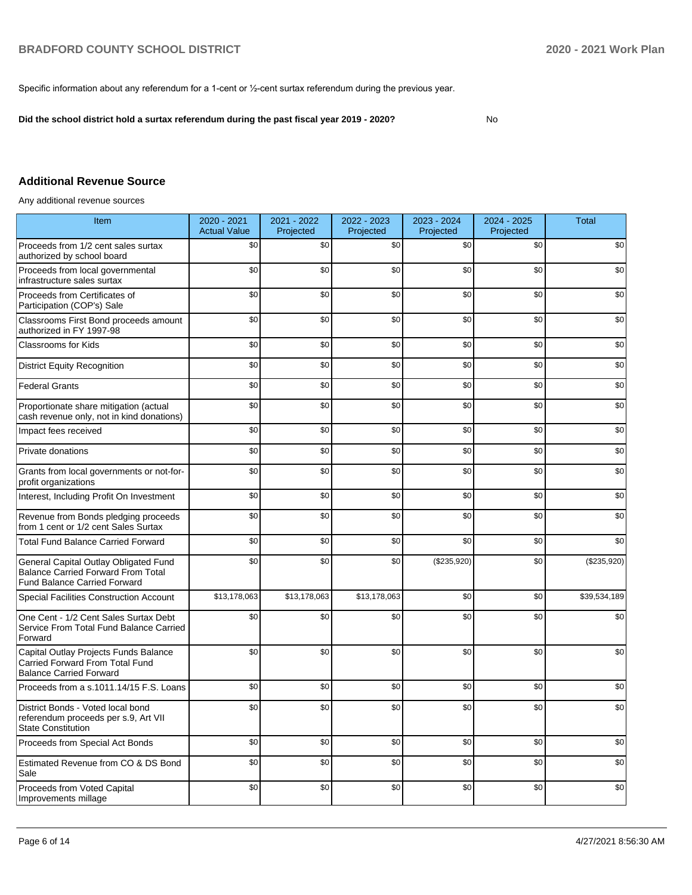Specific information about any referendum for a 1-cent or ½-cent surtax referendum during the previous year.

**Did the school district hold a surtax referendum during the past fiscal year 2019 - 2020?**

No

## **Additional Revenue Source**

Any additional revenue sources

| Item                                                                                                                      | 2020 - 2021<br><b>Actual Value</b> | 2021 - 2022<br>Projected | 2022 - 2023<br>Projected | 2023 - 2024<br>Projected | 2024 - 2025<br>Projected | <b>Total</b> |
|---------------------------------------------------------------------------------------------------------------------------|------------------------------------|--------------------------|--------------------------|--------------------------|--------------------------|--------------|
| Proceeds from 1/2 cent sales surtax<br>authorized by school board                                                         | \$0                                | \$0                      | \$0                      | \$0                      | \$0                      | \$0          |
| Proceeds from local governmental<br>infrastructure sales surtax                                                           | \$0                                | \$0                      | \$0                      | \$0                      | \$0                      | \$0          |
| Proceeds from Certificates of<br>Participation (COP's) Sale                                                               | \$0                                | \$0                      | \$0                      | \$0                      | \$0                      | \$0          |
| Classrooms First Bond proceeds amount<br>authorized in FY 1997-98                                                         | \$0                                | \$0                      | \$0                      | \$0                      | \$0                      | \$0          |
| <b>Classrooms for Kids</b>                                                                                                | \$0                                | \$0                      | \$0                      | \$0                      | \$0                      | \$0          |
| <b>District Equity Recognition</b>                                                                                        | \$0                                | \$0                      | \$0                      | \$0                      | \$0                      | \$0          |
| <b>Federal Grants</b>                                                                                                     | \$0                                | \$0                      | \$0                      | \$0                      | \$0                      | \$0          |
| Proportionate share mitigation (actual<br>cash revenue only, not in kind donations)                                       | \$0                                | \$0                      | \$0                      | \$0                      | \$0                      | \$0          |
| Impact fees received                                                                                                      | \$0                                | \$0                      | \$0                      | \$0                      | \$0                      | \$0          |
| Private donations                                                                                                         | \$0                                | \$0                      | \$0                      | \$0                      | \$0                      | \$0          |
| Grants from local governments or not-for-<br>profit organizations                                                         | \$0                                | \$0                      | \$0                      | \$0                      | \$0                      | \$0          |
| Interest, Including Profit On Investment                                                                                  | \$0                                | \$0                      | \$0                      | \$0                      | \$0                      | \$0          |
| Revenue from Bonds pledging proceeds<br>from 1 cent or 1/2 cent Sales Surtax                                              | \$0                                | \$0                      | \$0                      | \$0                      | \$0                      | \$0          |
| <b>Total Fund Balance Carried Forward</b>                                                                                 | \$0                                | \$0                      | \$0                      | \$0                      | \$0                      | \$0          |
| General Capital Outlay Obligated Fund<br><b>Balance Carried Forward From Total</b><br><b>Fund Balance Carried Forward</b> | \$0                                | \$0                      | \$0                      | (\$235,920)              | \$0                      | (\$235,920)  |
| <b>Special Facilities Construction Account</b>                                                                            | $\overline{$}13,178,063$           | \$13,178,063             | \$13,178,063             | \$0                      | \$0                      | \$39,534,189 |
| One Cent - 1/2 Cent Sales Surtax Debt<br>Service From Total Fund Balance Carried<br>Forward                               | \$0                                | \$0                      | \$0                      | \$0                      | \$0                      | \$0          |
| Capital Outlay Projects Funds Balance<br>Carried Forward From Total Fund<br><b>Balance Carried Forward</b>                | \$0                                | \$0                      | \$0                      | \$0                      | \$0                      | \$0          |
| Proceeds from a s.1011.14/15 F.S. Loans                                                                                   | \$0                                | \$0                      | \$0                      | \$0                      | \$0                      | \$0          |
| District Bonds - Voted local bond<br>referendum proceeds per s.9, Art VII<br><b>State Constitution</b>                    | \$0                                | \$0                      | \$0                      | \$0                      | \$0                      | \$0          |
| Proceeds from Special Act Bonds                                                                                           | \$0                                | \$0                      | \$0                      | \$0                      | \$0                      | \$0          |
| Estimated Revenue from CO & DS Bond<br>Sale                                                                               | \$0                                | \$0                      | \$0                      | \$0                      | \$0                      | \$0          |
| Proceeds from Voted Capital<br>Improvements millage                                                                       | \$0                                | \$0                      | \$0                      | \$0                      | \$0                      | \$0          |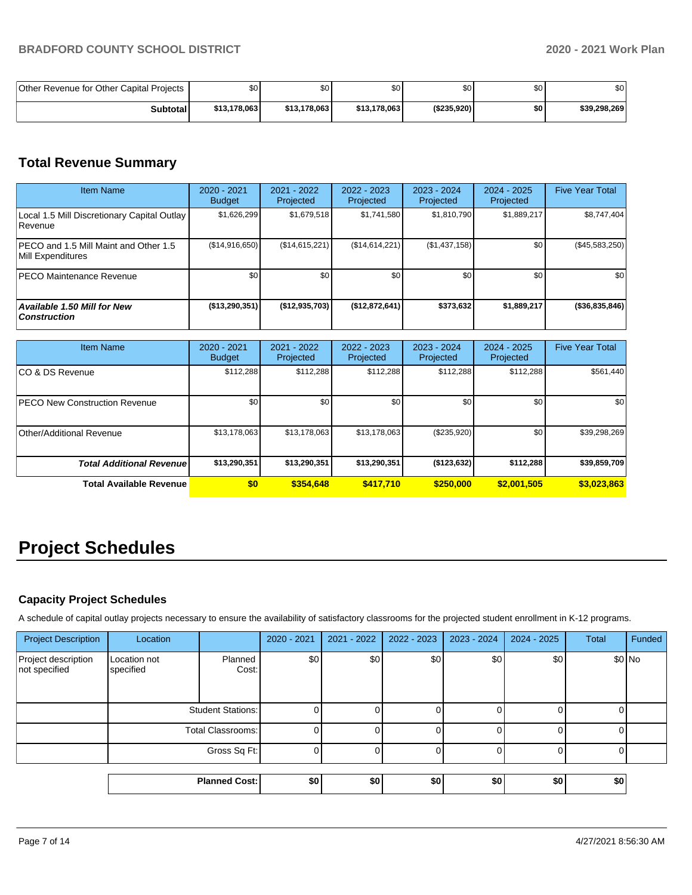| Other Revenue for Other Capital Projects | ا S0         | \$٥١         | \$C          | \$0          | \$0 | \$0          |
|------------------------------------------|--------------|--------------|--------------|--------------|-----|--------------|
| <b>Subtotal</b>                          | \$13.178.063 | \$13.178.063 | \$13,178,063 | ( \$235.920) | \$0 | \$39,298,269 |

## **Total Revenue Summary**

| <b>Item Name</b>                                           | 2020 - 2021<br><b>Budget</b> | 2021 - 2022<br>Projected | 2022 - 2023<br>Projected | 2023 - 2024<br>Projected | 2024 - 2025<br>Projected | <b>Five Year Total</b> |
|------------------------------------------------------------|------------------------------|--------------------------|--------------------------|--------------------------|--------------------------|------------------------|
| Local 1.5 Mill Discretionary Capital Outlay<br>l Revenue   | \$1,626,299                  | \$1,679,518              | \$1,741,580              | \$1,810,790              | \$1,889,217              | \$8,747,404            |
| PECO and 1.5 Mill Maint and Other 1.5<br>Mill Expenditures | (\$14,916,650)               | (S14, 615, 221)          | (\$14,614,221)           | (\$1,437,158)            | \$0                      | $(\$45,583,250)$       |
| <b>PECO Maintenance Revenue</b>                            | \$0                          | \$0                      | \$0                      | \$0                      | \$0                      | \$0                    |
| <b>Available 1.50 Mill for New</b><br><b>Construction</b>  | $($ \$13,290,351)            | (\$12,935,703)           | ( \$12, 872, 641)        | \$373,632                | \$1,889,217              | ( \$36, 835, 846]      |

| <b>Item Name</b>                     | 2020 - 2021<br><b>Budget</b> | $2021 - 2022$<br>Projected | 2022 - 2023<br>Projected | $2023 - 2024$<br>Projected | $2024 - 2025$<br>Projected | <b>Five Year Total</b> |
|--------------------------------------|------------------------------|----------------------------|--------------------------|----------------------------|----------------------------|------------------------|
| ICO & DS Revenue                     | \$112,288                    | \$112,288                  | \$112,288                | \$112,288                  | \$112,288                  | \$561,440              |
| <b>PECO New Construction Revenue</b> | \$0                          | \$0 <sub>1</sub>           | \$0                      | \$0                        | \$0                        | \$0                    |
| Other/Additional Revenue             | \$13,178,063                 | \$13,178,063               | \$13,178,063             | $(\$235,920)$              | \$0                        | \$39,298,269           |
| <b>Total Additional Revenuel</b>     | \$13,290,351                 | \$13,290,351               | \$13,290,351             | ( \$123, 632)              | \$112,288                  | \$39,859,709           |
| <b>Total Available Revenue</b>       | \$0                          | \$354,648                  | \$417,710                | \$250,000                  | \$2,001,505                | \$3,023,863            |

# **Project Schedules**

## **Capacity Project Schedules**

A schedule of capital outlay projects necessary to ensure the availability of satisfactory classrooms for the projected student enrollment in K-12 programs.

| <b>Project Description</b>           | Location                  |                      | 2020 - 2021 | 2021 - 2022 | 2022 - 2023 | 2023 - 2024 | 2024 - 2025 | Total | Funded  |
|--------------------------------------|---------------------------|----------------------|-------------|-------------|-------------|-------------|-------------|-------|---------|
| Project description<br>not specified | Location not<br>specified | Planned<br>Cost:     | \$0         | \$0         | \$0         | \$0         | \$0         |       | $$0$ No |
|                                      | <b>Student Stations:</b>  |                      |             |             |             |             |             |       |         |
|                                      | Total Classrooms:         |                      |             |             |             |             |             |       |         |
|                                      | Gross Sq Ft:              |                      |             |             |             |             |             |       |         |
|                                      |                           |                      |             |             |             |             |             |       |         |
|                                      |                           | <b>Planned Cost:</b> | \$0         | \$0         | \$0         | \$0         | \$0         | \$0   |         |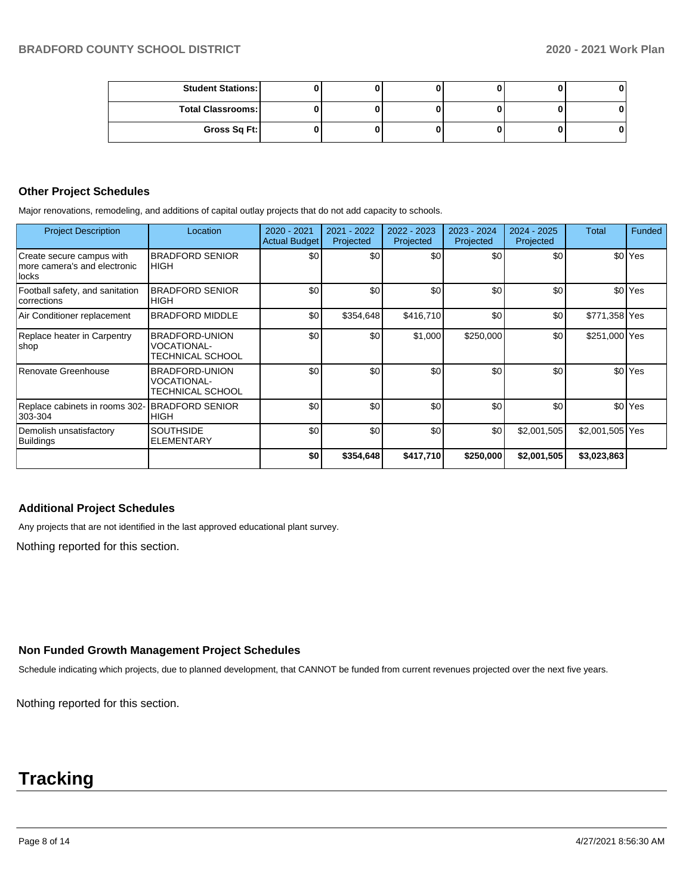| <b>Student Stations:</b> |  |  |  |
|--------------------------|--|--|--|
| <b>Total Classrooms:</b> |  |  |  |
| Gross Sq Ft:             |  |  |  |

### **Other Project Schedules**

Major renovations, remodeling, and additions of capital outlay projects that do not add capacity to schools.

| <b>Project Description</b>                                         | Location                                                 | 2020 - 2021<br><b>Actual Budget</b> | 2021 - 2022<br>Projected | 2022 - 2023<br>Projected | 2023 - 2024<br>Projected | 2024 - 2025<br>Projected | Total           | Funded               |
|--------------------------------------------------------------------|----------------------------------------------------------|-------------------------------------|--------------------------|--------------------------|--------------------------|--------------------------|-----------------|----------------------|
| Create secure campus with<br>more camera's and electronic<br>locks | <b>BRADFORD SENIOR</b><br><b>HIGH</b>                    | \$0                                 | \$0                      | \$0                      | \$0                      | \$0                      |                 | \$0 <sup>Yes</sup>   |
| Football safety, and sanitation<br>corrections                     | <b>BRADFORD SENIOR</b><br><b>HIGH</b>                    | \$0                                 | \$0                      | \$0                      | \$0                      | \$0                      |                 | \$0 <sup>Yes</sup>   |
| Air Conditioner replacement                                        | <b>BRADFORD MIDDLE</b>                                   | \$0                                 | \$354,648                | \$416,710                | \$0                      | \$0                      | \$771,358 Yes   |                      |
| Replace heater in Carpentry<br> shop                               | <b>BRADFORD-UNION</b><br>VOCATIONAL-<br>TECHNICAL SCHOOL | \$0                                 | \$0                      | \$1,000                  | \$250,000                | \$0                      | \$251,000 Yes   |                      |
| Renovate Greenhouse                                                | BRADFORD-UNION<br><b>VOCATIONAL-</b><br>TECHNICAL SCHOOL | \$0                                 | \$0                      | \$0                      | \$0                      | \$0                      |                 | \$0 <sup>l</sup> Yes |
| Replace cabinets in rooms 302-<br>303-304                          | <b>BRADFORD SENIOR</b><br><b>HIGH</b>                    | \$0                                 | \$0                      | \$0                      | \$0                      | \$0                      |                 | \$0 <sup>Yes</sup>   |
| Demolish unsatisfactory<br>Buildings                               | <b>SOUTHSIDE</b><br><b>ELEMENTARY</b>                    | \$0                                 | \$0                      | \$0                      | \$0                      | \$2,001,505              | \$2,001,505 Yes |                      |
|                                                                    |                                                          | \$0                                 | \$354,648                | \$417,710                | \$250,000                | \$2,001,505              | \$3,023,863     |                      |

## **Additional Project Schedules**

Any projects that are not identified in the last approved educational plant survey.

Nothing reported for this section.

#### **Non Funded Growth Management Project Schedules**

Schedule indicating which projects, due to planned development, that CANNOT be funded from current revenues projected over the next five years.

Nothing reported for this section.

## **Tracking**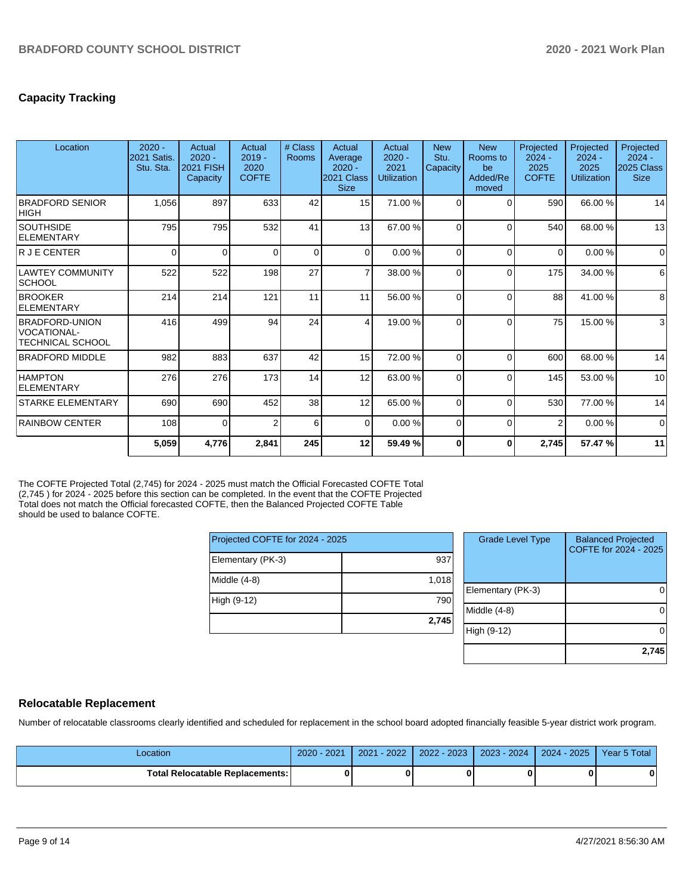## **Capacity Tracking**

| Location                                                 | $2020 -$<br>2021 Satis.<br>Stu. Sta. | Actual<br>$2020 -$<br><b>2021 FISH</b><br>Capacity | Actual<br>$2019 -$<br>2020<br><b>COFTE</b> | # Class<br><b>Rooms</b> | Actual<br>Average<br>$2020 -$<br>2021 Class<br><b>Size</b> | Actual<br>$2020 -$<br>2021<br><b>Utilization</b> | <b>New</b><br>Stu.<br>Capacity | <b>New</b><br>Rooms to<br>be<br>Added/Re<br>moved | Projected<br>$2024 -$<br>2025<br><b>COFTE</b> | Projected<br>$2024 -$<br>2025<br>Utilization | Projected<br>$2024 -$<br>2025 Class<br><b>Size</b> |
|----------------------------------------------------------|--------------------------------------|----------------------------------------------------|--------------------------------------------|-------------------------|------------------------------------------------------------|--------------------------------------------------|--------------------------------|---------------------------------------------------|-----------------------------------------------|----------------------------------------------|----------------------------------------------------|
| <b>BRADFORD SENIOR</b><br> HIGH                          | 1,056                                | 897                                                | 633                                        | 42                      | 15 <sup>1</sup>                                            | 71.00 %                                          | $\Omega$                       | C                                                 | 590                                           | 66.00 %                                      | 14                                                 |
| <b>SOUTHSIDE</b><br>ELEMENTARY                           | 795                                  | 795                                                | 532                                        | 41                      | 13                                                         | 67.00 %                                          | $\Omega$                       | C                                                 | 540                                           | 68.00 %                                      | 13                                                 |
| R J E CENTER                                             | $\Omega$                             | $\Omega$                                           | $\Omega$                                   | $\Omega$                | $\Omega$                                                   | 0.00%                                            | $\Omega$                       | $\Omega$                                          | $\Omega$                                      | 0.00%                                        | $\Omega$                                           |
| LAWTEY COMMUNITY<br> SCHOOL                              | 522                                  | 522                                                | 198                                        | 27                      | $\overline{7}$                                             | 38.00 %                                          | $\Omega$                       | $\Omega$                                          | 175                                           | 34.00 %                                      | $6 \overline{6}$                                   |
| <b>BROOKER</b><br>ELEMENTARY                             | 214                                  | 214                                                | 121                                        | 11                      | 11                                                         | 56.00 %                                          | $\Omega$                       | $\Omega$                                          | 88                                            | 41.00 %                                      | 8 <sup>1</sup>                                     |
| BRADFORD-UNION<br>VOCATIONAL-<br><b>TECHNICAL SCHOOL</b> | 416                                  | 499                                                | 94                                         | 24                      | $\overline{4}$                                             | 19.00 %                                          | $\Omega$                       | ſ                                                 | 75                                            | 15.00 %                                      | $\mathbf{3}$                                       |
| <b>BRADFORD MIDDLE</b>                                   | 982                                  | 883                                                | 637                                        | 42                      | 15 <sup>1</sup>                                            | 72.00 %                                          | $\Omega$                       | $\Omega$                                          | 600                                           | 68.00%                                       | 14                                                 |
| <b>HAMPTON</b><br>ELEMENTARY                             | 276                                  | 276                                                | 173                                        | 14                      | 12                                                         | 63.00 %                                          | $\Omega$                       | $\Omega$                                          | 145                                           | 53.00 %                                      | 10                                                 |
| <b>STARKE ELEMENTARY</b>                                 | 690                                  | 690                                                | 452                                        | 38                      | 12                                                         | 65.00 %                                          | $\Omega$                       | $\Omega$                                          | 530                                           | 77.00 %                                      | 14                                                 |
| <b>RAINBOW CENTER</b>                                    | 108                                  | $\Omega$                                           | ◠                                          | 6                       | $\Omega$                                                   | 0.00%                                            | $\Omega$                       | $\Omega$                                          | $\overline{2}$                                | 0.00%                                        | $\Omega$                                           |
|                                                          | 5,059                                | 4,776                                              | 2,841                                      | 245                     | 12                                                         | 59.49 %                                          | $\bf{0}$                       | 0                                                 | 2,745                                         | 57.47 %                                      | 11                                                 |

The COFTE Projected Total (2,745) for 2024 - 2025 must match the Official Forecasted COFTE Total (2,745 ) for 2024 - 2025 before this section can be completed. In the event that the COFTE Projected Total does not match the Official forecasted COFTE, then the Balanced Projected COFTE Table should be used to balance COFTE.

| Projected COFTE for 2024 - 2025 |       |
|---------------------------------|-------|
| Elementary (PK-3)               | 937   |
| Middle (4-8)                    | 1,018 |
| High (9-12)                     | 790   |
|                                 | 2,745 |

| <b>Grade Level Type</b> | <b>Balanced Projected</b><br>COFTE for 2024 - 2025 |
|-------------------------|----------------------------------------------------|
| Elementary (PK-3)       |                                                    |
| Middle $(4-8)$          |                                                    |
| High (9-12)             |                                                    |
|                         | 2,745                                              |

## **Relocatable Replacement**

Number of relocatable classrooms clearly identified and scheduled for replacement in the school board adopted financially feasible 5-year district work program.

| _ocation                               | 2020 - 2021 | $-2022$<br>2021 | 2022 - 2023 | $2023 - 2024$ | 2024 - 2025 | Year 5 Total |
|----------------------------------------|-------------|-----------------|-------------|---------------|-------------|--------------|
| <b>Total Relocatable Replacements:</b> | Λ           |                 |             |               |             | 0            |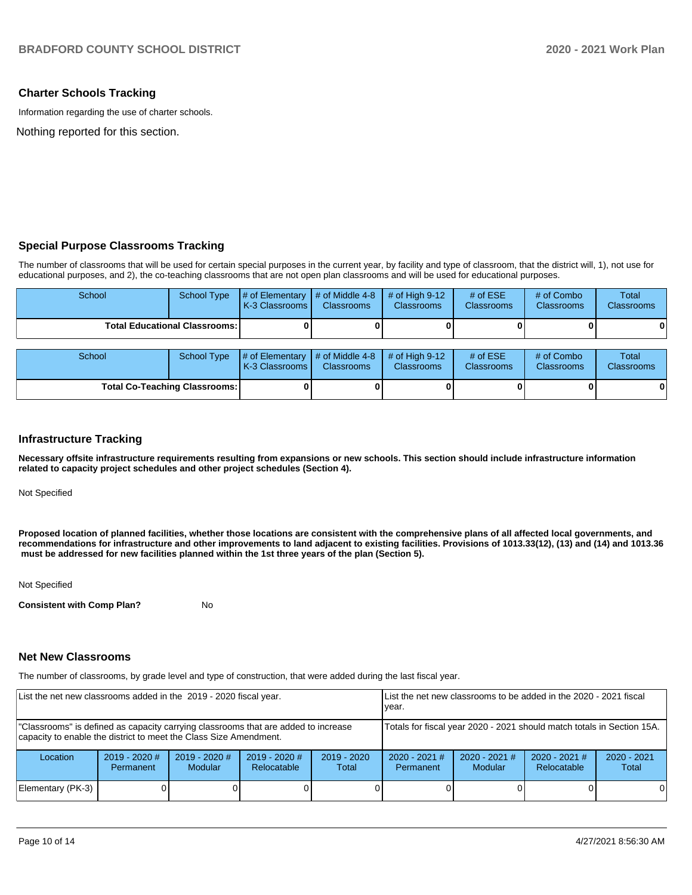## **Charter Schools Tracking**

Information regarding the use of charter schools.

Nothing reported for this section.

## **Special Purpose Classrooms Tracking**

The number of classrooms that will be used for certain special purposes in the current year, by facility and type of classroom, that the district will, 1), not use for educational purposes, and 2), the co-teaching classrooms that are not open plan classrooms and will be used for educational purposes.

| School                                 | School Type | $\#$ of Elementary $\#$ of Middle 4-8 $\#$ of High 9-12<br><b>K-3 Classrooms I</b> | <b>Classrooms</b> | <b>Classrooms</b> | # of $ESE$<br>Classrooms | # of Combo<br><b>Classrooms</b> | Total<br><b>Classrooms</b> |
|----------------------------------------|-------------|------------------------------------------------------------------------------------|-------------------|-------------------|--------------------------|---------------------------------|----------------------------|
| <b>Total Educational Classrooms: I</b> |             |                                                                                    |                   |                   |                          |                                 | $\mathbf{0}$               |
|                                        |             |                                                                                    |                   |                   |                          |                                 |                            |
| School                                 |             | School Type $\#$ of Elementary $\#$ of Middle 4-8 $\#$ of High 9-12                |                   |                   | # of $ESE$               | # of Combo                      | Total                      |

| School                               |  | School Type $\parallel \#$ of Elementary $\parallel \#$ of Middle 4-8 $\parallel \#$ of High 9-12<br><b>K-3 Classrooms</b> | <b>Classrooms</b> | <b>Classrooms</b> | # of $ESE$<br><b>Classrooms</b> | # of Combo<br><b>Classrooms</b> | Total<br><b>Classrooms</b> |
|--------------------------------------|--|----------------------------------------------------------------------------------------------------------------------------|-------------------|-------------------|---------------------------------|---------------------------------|----------------------------|
| <b>Total Co-Teaching Classrooms:</b> |  |                                                                                                                            |                   |                   |                                 |                                 | 0                          |

#### **Infrastructure Tracking**

**Necessary offsite infrastructure requirements resulting from expansions or new schools. This section should include infrastructure information related to capacity project schedules and other project schedules (Section 4).** 

Not Specified

**Proposed location of planned facilities, whether those locations are consistent with the comprehensive plans of all affected local governments, and recommendations for infrastructure and other improvements to land adjacent to existing facilities. Provisions of 1013.33(12), (13) and (14) and 1013.36 must be addressed for new facilities planned within the 1st three years of the plan (Section 5).** 

Not Specified

**Consistent with Comp Plan?** No

#### **Net New Classrooms**

The number of classrooms, by grade level and type of construction, that were added during the last fiscal year.

| List the net new classrooms added in the 2019 - 2020 fiscal year.                                                                                       | List the net new classrooms to be added in the 2020 - 2021 fiscal<br>vear. |                            |                                |                        |                                                                        |                            |                                |                        |
|---------------------------------------------------------------------------------------------------------------------------------------------------------|----------------------------------------------------------------------------|----------------------------|--------------------------------|------------------------|------------------------------------------------------------------------|----------------------------|--------------------------------|------------------------|
| "Classrooms" is defined as capacity carrying classrooms that are added to increase<br>capacity to enable the district to meet the Class Size Amendment. |                                                                            |                            |                                |                        | Totals for fiscal year 2020 - 2021 should match totals in Section 15A. |                            |                                |                        |
| Location                                                                                                                                                | $2019 - 2020$ #<br>Permanent                                               | $2019 - 2020$ #<br>Modular | $2019 - 2020$ #<br>Relocatable | $2019 - 2020$<br>Total | $2020 - 2021$ #<br><b>Permanent</b>                                    | $2020 - 2021$ #<br>Modular | $2020 - 2021$ #<br>Relocatable | $2020 - 2021$<br>Total |
| Elementary (PK-3)                                                                                                                                       |                                                                            |                            |                                |                        |                                                                        |                            |                                | $\Omega$               |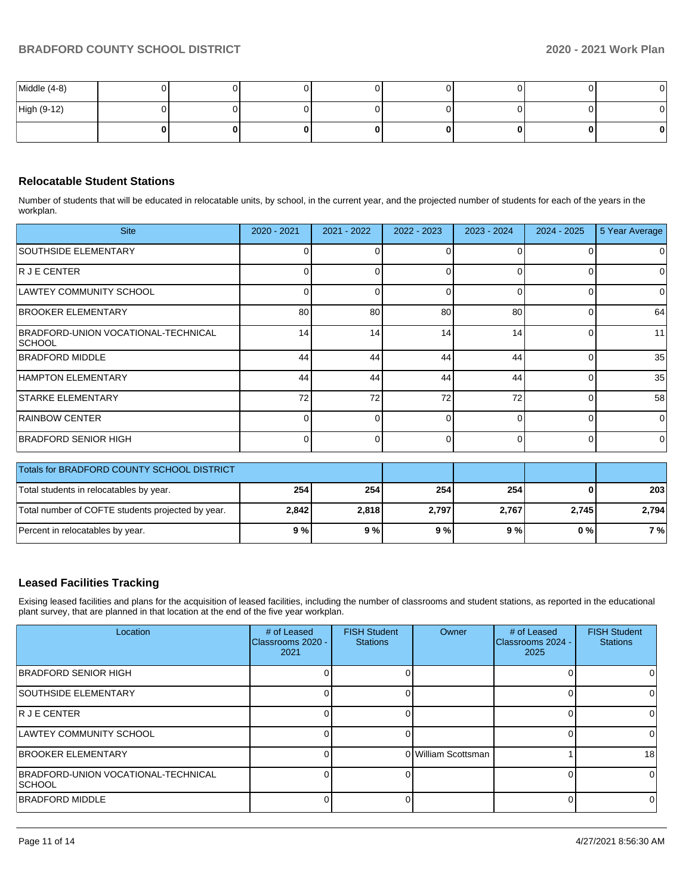| Middle (4-8) |  |  |  | ΟI |
|--------------|--|--|--|----|
| High (9-12)  |  |  |  |    |
|              |  |  |  |    |

## **Relocatable Student Stations**

Number of students that will be educated in relocatable units, by school, in the current year, and the projected number of students for each of the years in the workplan.

| <b>Site</b>                                       | 2020 - 2021 | 2021 - 2022 | 2022 - 2023  | 2023 - 2024 | 2024 - 2025 | 5 Year Average |
|---------------------------------------------------|-------------|-------------|--------------|-------------|-------------|----------------|
| SOUTHSIDE ELEMENTARY                              |             |             |              | O           |             | 0              |
| R J E CENTER                                      | 0           | ი           | $\Omega$     | 0           |             | 0              |
| LAWTEY COMMUNITY SCHOOL                           | 0           | ∩           | <sup>0</sup> | $\Omega$    |             | 0              |
| <b>BROOKER ELEMENTARY</b>                         | 80          | 80          | 80           | 80          | $\Omega$    | 64             |
| BRADFORD-UNION VOCATIONAL-TECHNICAL<br> SCHOOL    | 14          | 14          | 14           | 14          | Ω           | 11             |
| <b>BRADFORD MIDDLE</b>                            | 44          | 44          | 44           | 44          | 0           | 35             |
| HAMPTON ELEMENTARY                                | 44          | 44          | 44           | 44          |             | 35             |
| <b>STARKE ELEMENTARY</b>                          | 72          | 72          | 72           | 72          | O           | 58             |
| <b>RAINBOW CENTER</b>                             | 0           | 0           | 0            | $\Omega$    | 0           | $\overline{0}$ |
| <b>BRADFORD SENIOR HIGH</b>                       | $\Omega$    | n           | 0            | $\Omega$    | O           | $\Omega$       |
| Totals for BRADFORD COUNTY SCHOOL DISTRICT        |             |             |              |             |             |                |
| Total students in relocatables by year.           | 254         | 254         | 254          | 254         | 0           | 203            |
| Total number of COFTE students projected by year. | 2,842       | 2,818       | 2,797        | 2,767       | 2,745       | 2,794          |

## **Leased Facilities Tracking**

Exising leased facilities and plans for the acquisition of leased facilities, including the number of classrooms and student stations, as reported in the educational plant survey, that are planned in that location at the end of the five year workplan.

Percent in relocatables by year. **9 % 9 % 9 % 9 % 0 % 7 %**

| Location                                             | # of Leased<br>Classrooms 2020 -<br>2021 | <b>FISH Student</b><br><b>Stations</b> | Owner               | # of Leased<br>Classrooms 2024 -<br>2025 | <b>FISH Student</b><br><b>Stations</b> |
|------------------------------------------------------|------------------------------------------|----------------------------------------|---------------------|------------------------------------------|----------------------------------------|
| IBRADFORD SENIOR HIGH                                |                                          |                                        |                     |                                          |                                        |
| <b>SOUTHSIDE ELEMENTARY</b>                          |                                          |                                        |                     |                                          |                                        |
| R J E CENTER                                         |                                          |                                        |                     |                                          |                                        |
| ILAWTEY COMMUNITY SCHOOL                             |                                          |                                        |                     |                                          |                                        |
| <b>BROOKER ELEMENTARY</b>                            |                                          |                                        | 0 William Scottsman |                                          | 18                                     |
| BRADFORD-UNION VOCATIONAL-TECHNICAL<br><b>SCHOOL</b> |                                          |                                        |                     |                                          | 0                                      |
| <b>BRADFORD MIDDLE</b>                               |                                          |                                        |                     |                                          |                                        |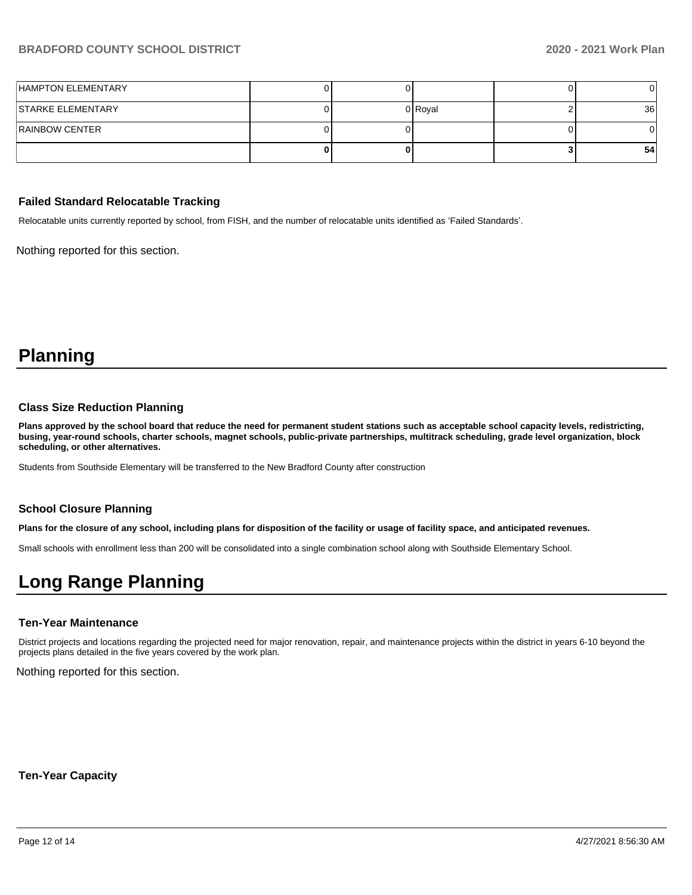| HAMPTON ELEMENTARY       |  |         |                 |
|--------------------------|--|---------|-----------------|
| <b>STARKE ELEMENTARY</b> |  | 0 Royal | 36 <sup>1</sup> |
| <b>RAINBOW CENTER</b>    |  |         |                 |
|                          |  |         | 54              |

#### **Failed Standard Relocatable Tracking**

Relocatable units currently reported by school, from FISH, and the number of relocatable units identified as 'Failed Standards'.

Nothing reported for this section.

# **Planning**

### **Class Size Reduction Planning**

**Plans approved by the school board that reduce the need for permanent student stations such as acceptable school capacity levels, redistricting, busing, year-round schools, charter schools, magnet schools, public-private partnerships, multitrack scheduling, grade level organization, block scheduling, or other alternatives.**

Students from Southside Elementary will be transferred to the New Bradford County after construction

#### **School Closure Planning**

**Plans for the closure of any school, including plans for disposition of the facility or usage of facility space, and anticipated revenues.** 

Small schools with enrollment less than 200 will be consolidated into a single combination school along with Southside Elementary School.

# **Long Range Planning**

#### **Ten-Year Maintenance**

District projects and locations regarding the projected need for major renovation, repair, and maintenance projects within the district in years 6-10 beyond the projects plans detailed in the five years covered by the work plan.

Nothing reported for this section.

**Ten-Year Capacity**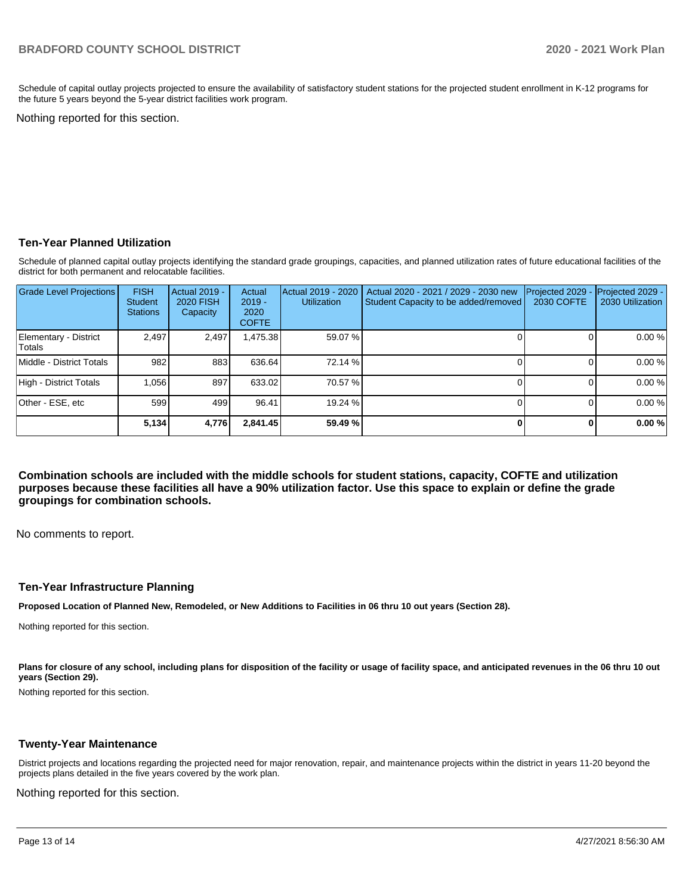Schedule of capital outlay projects projected to ensure the availability of satisfactory student stations for the projected student enrollment in K-12 programs for the future 5 years beyond the 5-year district facilities work program.

Nothing reported for this section.

## **Ten-Year Planned Utilization**

Schedule of planned capital outlay projects identifying the standard grade groupings, capacities, and planned utilization rates of future educational facilities of the district for both permanent and relocatable facilities.

| <b>Grade Level Projections</b>   | <b>FISH</b><br><b>Student</b><br><b>Stations</b> | <b>Actual 2019 -</b><br><b>2020 FISH</b><br>Capacity | Actual<br>$2019 -$<br>2020<br><b>COFTE</b> | Actual 2019 - 2020<br><b>Utilization</b> | Actual 2020 - 2021 / 2029 - 2030 new<br>Student Capacity to be added/removed | Projected 2029<br>2030 COFTE | Projected 2029 -<br>2030 Utilization |
|----------------------------------|--------------------------------------------------|------------------------------------------------------|--------------------------------------------|------------------------------------------|------------------------------------------------------------------------------|------------------------------|--------------------------------------|
| Elementary - District<br> Totals | 2.497                                            | 2,497                                                | A75.38                                     | 59.07 %                                  |                                                                              |                              | 0.00%                                |
| Middle - District Totals         | 982                                              | 883                                                  | 636.64                                     | 72.14 %                                  |                                                                              |                              | 0.00%                                |
| High - District Totals           | 1.056                                            | 897                                                  | 633.02                                     | 70.57 %                                  |                                                                              |                              | 0.00%                                |
| Other - ESE, etc                 | 599                                              | 499                                                  | 96.41                                      | 19.24 %                                  |                                                                              |                              | 0.00%                                |
|                                  | 5,134                                            | 4,776                                                | 2,841.45                                   | 59.49%                                   |                                                                              | O.                           | 0.00%                                |

**Combination schools are included with the middle schools for student stations, capacity, COFTE and utilization purposes because these facilities all have a 90% utilization factor. Use this space to explain or define the grade groupings for combination schools.** 

No comments to report.

#### **Ten-Year Infrastructure Planning**

**Proposed Location of Planned New, Remodeled, or New Additions to Facilities in 06 thru 10 out years (Section 28).**

Nothing reported for this section.

Plans for closure of any school, including plans for disposition of the facility or usage of facility space, and anticipated revenues in the 06 thru 10 out **years (Section 29).**

Nothing reported for this section.

#### **Twenty-Year Maintenance**

District projects and locations regarding the projected need for major renovation, repair, and maintenance projects within the district in years 11-20 beyond the projects plans detailed in the five years covered by the work plan.

Nothing reported for this section.